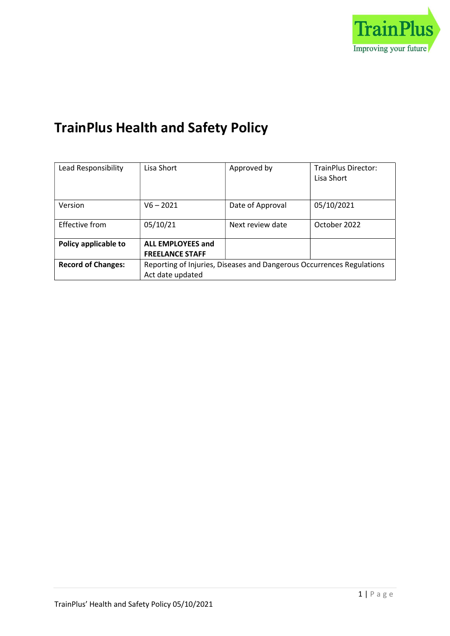

# TrainPlus Health and Safety Policy

| Lead Responsibility       | Lisa Short                                                            | Approved by      | <b>TrainPlus Director:</b><br>Lisa Short |
|---------------------------|-----------------------------------------------------------------------|------------------|------------------------------------------|
|                           |                                                                       |                  |                                          |
|                           |                                                                       |                  |                                          |
| Version                   | $V6 - 2021$                                                           | Date of Approval | 05/10/2021                               |
| Effective from            | 05/10/21                                                              | Next review date | October 2022                             |
| Policy applicable to      | <b>ALL EMPLOYEES and</b>                                              |                  |                                          |
|                           | <b>FREELANCE STAFF</b>                                                |                  |                                          |
| <b>Record of Changes:</b> | Reporting of Injuries, Diseases and Dangerous Occurrences Regulations |                  |                                          |
|                           | Act date updated                                                      |                  |                                          |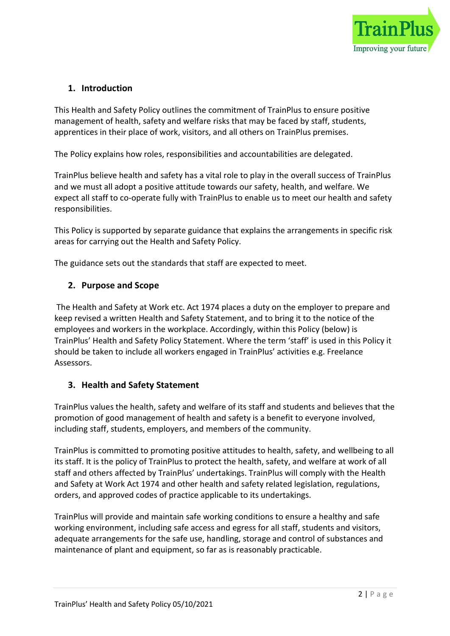

# 1. Introduction

This Health and Safety Policy outlines the commitment of TrainPlus to ensure positive management of health, safety and welfare risks that may be faced by staff, students, apprentices in their place of work, visitors, and all others on TrainPlus premises.

The Policy explains how roles, responsibilities and accountabilities are delegated.

TrainPlus believe health and safety has a vital role to play in the overall success of TrainPlus and we must all adopt a positive attitude towards our safety, health, and welfare. We expect all staff to co-operate fully with TrainPlus to enable us to meet our health and safety responsibilities.

This Policy is supported by separate guidance that explains the arrangements in specific risk areas for carrying out the Health and Safety Policy.

The guidance sets out the standards that staff are expected to meet.

## 2. Purpose and Scope

 The Health and Safety at Work etc. Act 1974 places a duty on the employer to prepare and keep revised a written Health and Safety Statement, and to bring it to the notice of the employees and workers in the workplace. Accordingly, within this Policy (below) is TrainPlus' Health and Safety Policy Statement. Where the term 'staff' is used in this Policy it should be taken to include all workers engaged in TrainPlus' activities e.g. Freelance Assessors.

## 3. Health and Safety Statement

TrainPlus values the health, safety and welfare of its staff and students and believes that the promotion of good management of health and safety is a benefit to everyone involved, including staff, students, employers, and members of the community.

TrainPlus is committed to promoting positive attitudes to health, safety, and wellbeing to all its staff. It is the policy of TrainPlus to protect the health, safety, and welfare at work of all staff and others affected by TrainPlus' undertakings. TrainPlus will comply with the Health and Safety at Work Act 1974 and other health and safety related legislation, regulations, orders, and approved codes of practice applicable to its undertakings.

TrainPlus will provide and maintain safe working conditions to ensure a healthy and safe working environment, including safe access and egress for all staff, students and visitors, adequate arrangements for the safe use, handling, storage and control of substances and maintenance of plant and equipment, so far as is reasonably practicable.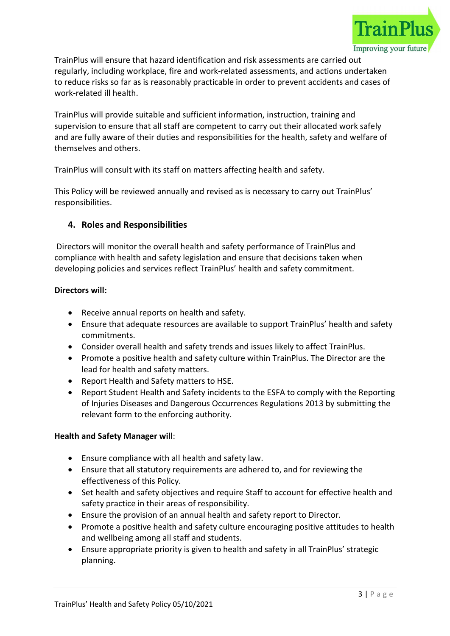

TrainPlus will ensure that hazard identification and risk assessments are carried out regularly, including workplace, fire and work-related assessments, and actions undertaken to reduce risks so far as is reasonably practicable in order to prevent accidents and cases of work-related ill health.

TrainPlus will provide suitable and sufficient information, instruction, training and supervision to ensure that all staff are competent to carry out their allocated work safely and are fully aware of their duties and responsibilities for the health, safety and welfare of themselves and others.

TrainPlus will consult with its staff on matters affecting health and safety.

This Policy will be reviewed annually and revised as is necessary to carry out TrainPlus' responsibilities.

# 4. Roles and Responsibilities

 Directors will monitor the overall health and safety performance of TrainPlus and compliance with health and safety legislation and ensure that decisions taken when developing policies and services reflect TrainPlus' health and safety commitment.

#### Directors will:

- Receive annual reports on health and safety.
- Ensure that adequate resources are available to support TrainPlus' health and safety commitments.
- Consider overall health and safety trends and issues likely to affect TrainPlus.
- Promote a positive health and safety culture within TrainPlus. The Director are the lead for health and safety matters.
- Report Health and Safety matters to HSE.
- Report Student Health and Safety incidents to the ESFA to comply with the Reporting of Injuries Diseases and Dangerous Occurrences Regulations 2013 by submitting the relevant form to the enforcing authority.

## Health and Safety Manager will:

- Ensure compliance with all health and safety law.
- Ensure that all statutory requirements are adhered to, and for reviewing the effectiveness of this Policy.
- Set health and safety objectives and require Staff to account for effective health and safety practice in their areas of responsibility.
- Ensure the provision of an annual health and safety report to Director.
- Promote a positive health and safety culture encouraging positive attitudes to health and wellbeing among all staff and students.
- Ensure appropriate priority is given to health and safety in all TrainPlus' strategic planning.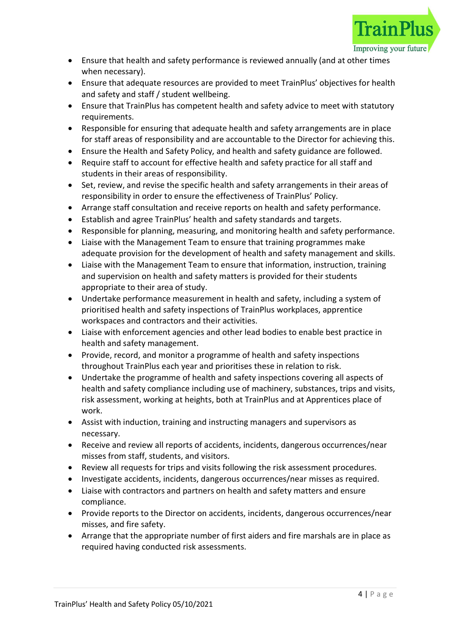

- Ensure that health and safety performance is reviewed annually (and at other times when necessary).
- Ensure that adequate resources are provided to meet TrainPlus' objectives for health and safety and staff / student wellbeing.
- Ensure that TrainPlus has competent health and safety advice to meet with statutory requirements.
- Responsible for ensuring that adequate health and safety arrangements are in place for staff areas of responsibility and are accountable to the Director for achieving this.
- Ensure the Health and Safety Policy, and health and safety guidance are followed.
- Require staff to account for effective health and safety practice for all staff and students in their areas of responsibility.
- Set, review, and revise the specific health and safety arrangements in their areas of responsibility in order to ensure the effectiveness of TrainPlus' Policy.
- Arrange staff consultation and receive reports on health and safety performance.
- Establish and agree TrainPlus' health and safety standards and targets.
- Responsible for planning, measuring, and monitoring health and safety performance.
- Liaise with the Management Team to ensure that training programmes make adequate provision for the development of health and safety management and skills.
- Liaise with the Management Team to ensure that information, instruction, training and supervision on health and safety matters is provided for their students appropriate to their area of study.
- Undertake performance measurement in health and safety, including a system of prioritised health and safety inspections of TrainPlus workplaces, apprentice workspaces and contractors and their activities.
- Liaise with enforcement agencies and other lead bodies to enable best practice in health and safety management.
- Provide, record, and monitor a programme of health and safety inspections throughout TrainPlus each year and prioritises these in relation to risk.
- Undertake the programme of health and safety inspections covering all aspects of health and safety compliance including use of machinery, substances, trips and visits, risk assessment, working at heights, both at TrainPlus and at Apprentices place of work.
- Assist with induction, training and instructing managers and supervisors as necessary.
- Receive and review all reports of accidents, incidents, dangerous occurrences/near misses from staff, students, and visitors.
- Review all requests for trips and visits following the risk assessment procedures.
- Investigate accidents, incidents, dangerous occurrences/near misses as required.
- Liaise with contractors and partners on health and safety matters and ensure compliance.
- Provide reports to the Director on accidents, incidents, dangerous occurrences/near misses, and fire safety.
- Arrange that the appropriate number of first aiders and fire marshals are in place as required having conducted risk assessments.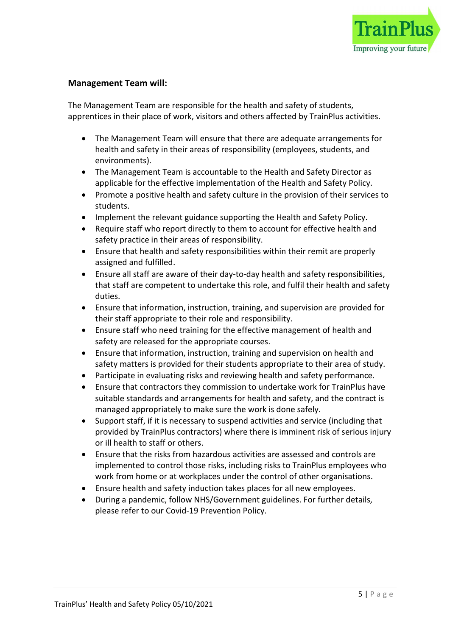

#### Management Team will:

The Management Team are responsible for the health and safety of students, apprentices in their place of work, visitors and others affected by TrainPlus activities.

- The Management Team will ensure that there are adequate arrangements for health and safety in their areas of responsibility (employees, students, and environments).
- The Management Team is accountable to the Health and Safety Director as applicable for the effective implementation of the Health and Safety Policy.
- Promote a positive health and safety culture in the provision of their services to students.
- Implement the relevant guidance supporting the Health and Safety Policy.
- Require staff who report directly to them to account for effective health and safety practice in their areas of responsibility.
- Ensure that health and safety responsibilities within their remit are properly assigned and fulfilled.
- Ensure all staff are aware of their day-to-day health and safety responsibilities, that staff are competent to undertake this role, and fulfil their health and safety duties.
- Ensure that information, instruction, training, and supervision are provided for their staff appropriate to their role and responsibility.
- Ensure staff who need training for the effective management of health and safety are released for the appropriate courses.
- Ensure that information, instruction, training and supervision on health and safety matters is provided for their students appropriate to their area of study.
- Participate in evaluating risks and reviewing health and safety performance.
- Ensure that contractors they commission to undertake work for TrainPlus have suitable standards and arrangements for health and safety, and the contract is managed appropriately to make sure the work is done safely.
- Support staff, if it is necessary to suspend activities and service (including that provided by TrainPlus contractors) where there is imminent risk of serious injury or ill health to staff or others.
- Ensure that the risks from hazardous activities are assessed and controls are implemented to control those risks, including risks to TrainPlus employees who work from home or at workplaces under the control of other organisations.
- Ensure health and safety induction takes places for all new employees.
- During a pandemic, follow NHS/Government guidelines. For further details, please refer to our Covid-19 Prevention Policy.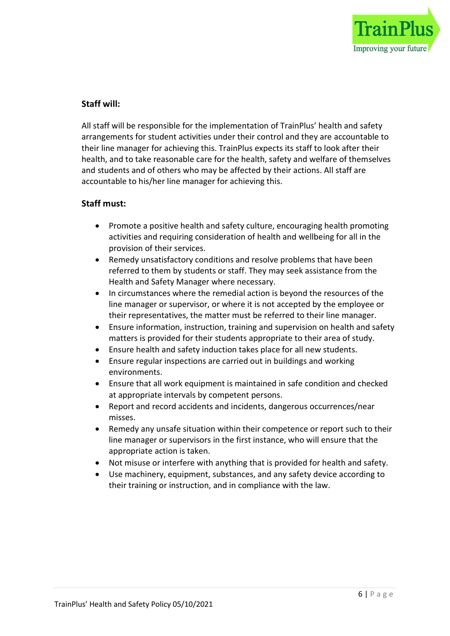

## Staff will:

All staff will be responsible for the implementation of TrainPlus' health and safety arrangements for student activities under their control and they are accountable to their line manager for achieving this. TrainPlus expects its staff to look after their health, and to take reasonable care for the health, safety and welfare of themselves and students and of others who may be affected by their actions. All staff are accountable to his/her line manager for achieving this.

#### Staff must:

- Promote a positive health and safety culture, encouraging health promoting activities and requiring consideration of health and wellbeing for all in the provision of their services.
- Remedy unsatisfactory conditions and resolve problems that have been referred to them by students or staff. They may seek assistance from the Health and Safety Manager where necessary.
- In circumstances where the remedial action is beyond the resources of the line manager or supervisor, or where it is not accepted by the employee or their representatives, the matter must be referred to their line manager.
- Ensure information, instruction, training and supervision on health and safety matters is provided for their students appropriate to their area of study.
- Ensure health and safety induction takes place for all new students.
- Ensure regular inspections are carried out in buildings and working environments.
- Ensure that all work equipment is maintained in safe condition and checked at appropriate intervals by competent persons.
- Report and record accidents and incidents, dangerous occurrences/near misses.
- Remedy any unsafe situation within their competence or report such to their line manager or supervisors in the first instance, who will ensure that the appropriate action is taken.
- Not misuse or interfere with anything that is provided for health and safety.
- Use machinery, equipment, substances, and any safety device according to their training or instruction, and in compliance with the law.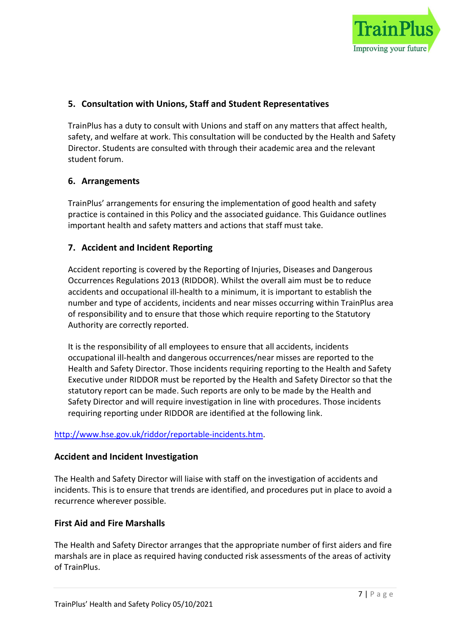

# 5. Consultation with Unions, Staff and Student Representatives

TrainPlus has a duty to consult with Unions and staff on any matters that affect health, safety, and welfare at work. This consultation will be conducted by the Health and Safety Director. Students are consulted with through their academic area and the relevant student forum.

## 6. Arrangements

TrainPlus' arrangements for ensuring the implementation of good health and safety practice is contained in this Policy and the associated guidance. This Guidance outlines important health and safety matters and actions that staff must take.

# 7. Accident and Incident Reporting

Accident reporting is covered by the Reporting of Injuries, Diseases and Dangerous Occurrences Regulations 2013 (RIDDOR). Whilst the overall aim must be to reduce accidents and occupational ill-health to a minimum, it is important to establish the number and type of accidents, incidents and near misses occurring within TrainPlus area of responsibility and to ensure that those which require reporting to the Statutory Authority are correctly reported.

It is the responsibility of all employees to ensure that all accidents, incidents occupational ill-health and dangerous occurrences/near misses are reported to the Health and Safety Director. Those incidents requiring reporting to the Health and Safety Executive under RIDDOR must be reported by the Health and Safety Director so that the statutory report can be made. Such reports are only to be made by the Health and Safety Director and will require investigation in line with procedures. Those incidents requiring reporting under RIDDOR are identified at the following link.

## http://www.hse.gov.uk/riddor/reportable-incidents.htm.

## Accident and Incident Investigation

The Health and Safety Director will liaise with staff on the investigation of accidents and incidents. This is to ensure that trends are identified, and procedures put in place to avoid a recurrence wherever possible.

## First Aid and Fire Marshalls

The Health and Safety Director arranges that the appropriate number of first aiders and fire marshals are in place as required having conducted risk assessments of the areas of activity of TrainPlus.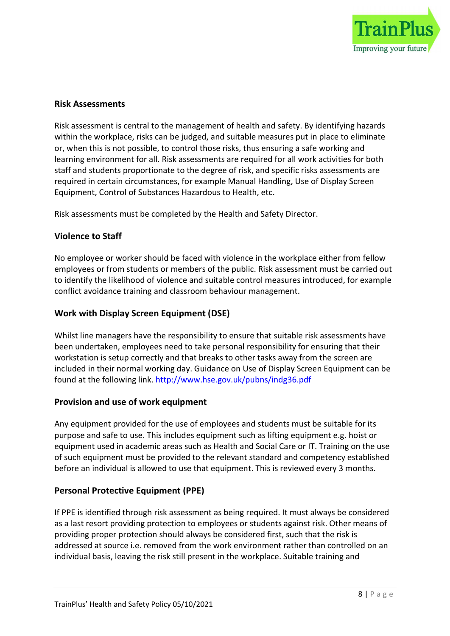

#### Risk Assessments

Risk assessment is central to the management of health and safety. By identifying hazards within the workplace, risks can be judged, and suitable measures put in place to eliminate or, when this is not possible, to control those risks, thus ensuring a safe working and learning environment for all. Risk assessments are required for all work activities for both staff and students proportionate to the degree of risk, and specific risks assessments are required in certain circumstances, for example Manual Handling, Use of Display Screen Equipment, Control of Substances Hazardous to Health, etc.

Risk assessments must be completed by the Health and Safety Director.

#### Violence to Staff

No employee or worker should be faced with violence in the workplace either from fellow employees or from students or members of the public. Risk assessment must be carried out to identify the likelihood of violence and suitable control measures introduced, for example conflict avoidance training and classroom behaviour management.

#### Work with Display Screen Equipment (DSE)

Whilst line managers have the responsibility to ensure that suitable risk assessments have been undertaken, employees need to take personal responsibility for ensuring that their workstation is setup correctly and that breaks to other tasks away from the screen are included in their normal working day. Guidance on Use of Display Screen Equipment can be found at the following link. http://www.hse.gov.uk/pubns/indg36.pdf

#### Provision and use of work equipment

Any equipment provided for the use of employees and students must be suitable for its purpose and safe to use. This includes equipment such as lifting equipment e.g. hoist or equipment used in academic areas such as Health and Social Care or IT. Training on the use of such equipment must be provided to the relevant standard and competency established before an individual is allowed to use that equipment. This is reviewed every 3 months.

#### Personal Protective Equipment (PPE)

If PPE is identified through risk assessment as being required. It must always be considered as a last resort providing protection to employees or students against risk. Other means of providing proper protection should always be considered first, such that the risk is addressed at source i.e. removed from the work environment rather than controlled on an individual basis, leaving the risk still present in the workplace. Suitable training and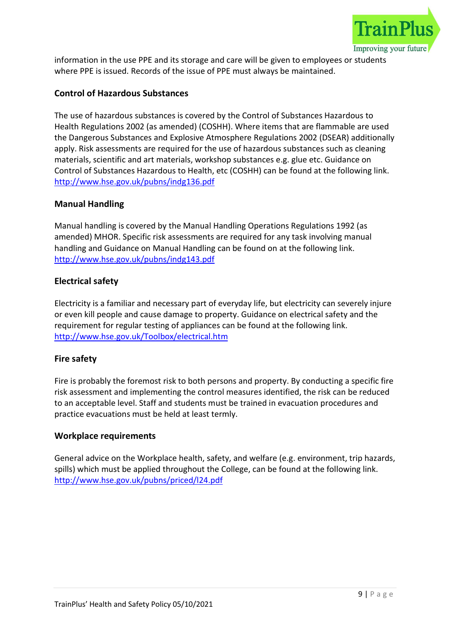

information in the use PPE and its storage and care will be given to employees or students where PPE is issued. Records of the issue of PPE must always be maintained.

# Control of Hazardous Substances

The use of hazardous substances is covered by the Control of Substances Hazardous to Health Regulations 2002 (as amended) (COSHH). Where items that are flammable are used the Dangerous Substances and Explosive Atmosphere Regulations 2002 (DSEAR) additionally apply. Risk assessments are required for the use of hazardous substances such as cleaning materials, scientific and art materials, workshop substances e.g. glue etc. Guidance on Control of Substances Hazardous to Health, etc (COSHH) can be found at the following link. http://www.hse.gov.uk/pubns/indg136.pdf

## Manual Handling

Manual handling is covered by the Manual Handling Operations Regulations 1992 (as amended) MHOR. Specific risk assessments are required for any task involving manual handling and Guidance on Manual Handling can be found on at the following link. http://www.hse.gov.uk/pubns/indg143.pdf

#### Electrical safety

Electricity is a familiar and necessary part of everyday life, but electricity can severely injure or even kill people and cause damage to property. Guidance on electrical safety and the requirement for regular testing of appliances can be found at the following link. http://www.hse.gov.uk/Toolbox/electrical.htm

## Fire safety

Fire is probably the foremost risk to both persons and property. By conducting a specific fire risk assessment and implementing the control measures identified, the risk can be reduced to an acceptable level. Staff and students must be trained in evacuation procedures and practice evacuations must be held at least termly.

#### Workplace requirements

General advice on the Workplace health, safety, and welfare (e.g. environment, trip hazards, spills) which must be applied throughout the College, can be found at the following link. http://www.hse.gov.uk/pubns/priced/l24.pdf